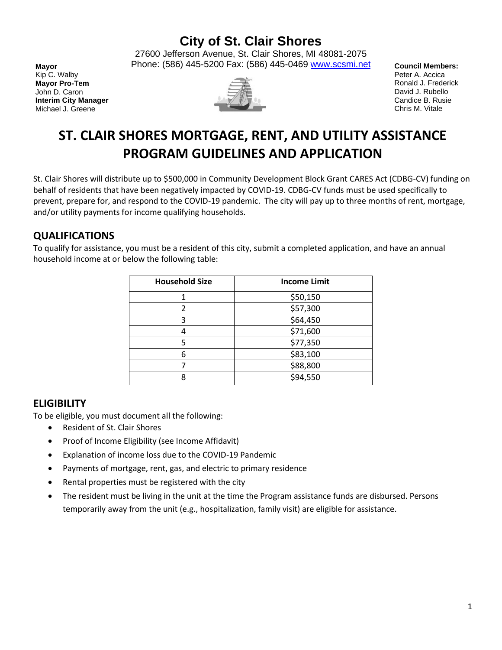# **City of St. Clair Shores**

27600 Jefferson Avenue, St. Clair Shores, MI 48081-2075 Phone: (586) 445-5200 Fax: (586) 445-0469 [www.scsmi.net](http://www.stclairshores.net/)

**Mayor** Kip C. Walby **Mayor Pro-Tem** John D. Caron **Interim City Manager** Michael J. Greene



**Council Members:** Peter A. Accica Ronald J. Frederick David J. Rubello Candice B. Rusie Chris M. Vitale

# **ST. CLAIR SHORES MORTGAGE, RENT, AND UTILITY ASSISTANCE PROGRAM GUIDELINES AND APPLICATION**

St. Clair Shores will distribute up to \$500,000 in Community Development Block Grant CARES Act (CDBG-CV) funding on behalf of residents that have been negatively impacted by COVID-19. CDBG-CV funds must be used specifically to prevent, prepare for, and respond to the COVID-19 pandemic. The city will pay up to three months of rent, mortgage, and/or utility payments for income qualifying households.

## **QUALIFICATIONS**

To qualify for assistance, you must be a resident of this city, submit a completed application, and have an annual household income at or below the following table:

| <b>Household Size</b> | <b>Income Limit</b> |
|-----------------------|---------------------|
|                       | \$50,150            |
| $\mathfrak{p}$        | \$57,300            |
| 3                     | \$64,450            |
|                       | \$71,600            |
| 5                     | \$77,350            |
| 6                     | \$83,100            |
|                       | \$88,800            |
| 8                     | \$94,550            |

## **ELIGIBILITY**

To be eligible, you must document all the following:

- Resident of St. Clair Shores
- Proof of Income Eligibility (see Income Affidavit)
- Explanation of income loss due to the COVID-19 Pandemic
- Payments of mortgage, rent, gas, and electric to primary residence
- Rental properties must be registered with the city
- The resident must be living in the unit at the time the Program assistance funds are disbursed. Persons temporarily away from the unit (e.g., hospitalization, family visit) are eligible for assistance.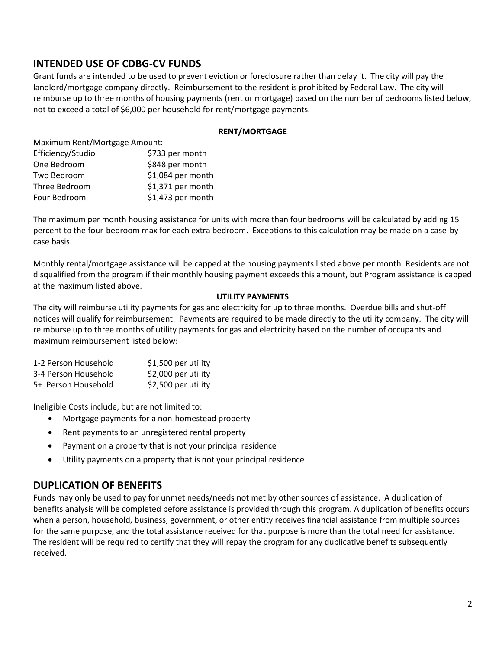## **INTENDED USE OF CDBG-CV FUNDS**

Grant funds are intended to be used to prevent eviction or foreclosure rather than delay it. The city will pay the landlord/mortgage company directly. Reimbursement to the resident is prohibited by Federal Law. The city will reimburse up to three months of housing payments (rent or mortgage) based on the number of bedrooms listed below, not to exceed a total of \$6,000 per household for rent/mortgage payments.

#### **RENT/MORTGAGE**

Maximum Rent/Mortgage Amount: Efficiency/Studio \$733 per month

| One Bedroom   | \$848 per month   |
|---------------|-------------------|
| Two Bedroom   | \$1,084 per month |
| Three Bedroom | \$1,371 per month |
| Four Bedroom  | \$1,473 per month |

The maximum per month housing assistance for units with more than four bedrooms will be calculated by adding 15 percent to the four-bedroom max for each extra bedroom. Exceptions to this calculation may be made on a case-bycase basis.

Monthly rental/mortgage assistance will be capped at the housing payments listed above per month. Residents are not disqualified from the program if their monthly housing payment exceeds this amount, but Program assistance is capped at the maximum listed above.

#### **UTILITY PAYMENTS**

The city will reimburse utility payments for gas and electricity for up to three months. Overdue bills and shut-off notices will qualify for reimbursement. Payments are required to be made directly to the utility company. The city will reimburse up to three months of utility payments for gas and electricity based on the number of occupants and maximum reimbursement listed below:

| 1-2 Person Household | \$1,500 per utility |
|----------------------|---------------------|
| 3-4 Person Household | \$2,000 per utility |
| 5+ Person Household  | \$2,500 per utility |

Ineligible Costs include, but are not limited to:

- Mortgage payments for a non-homestead property
- Rent payments to an unregistered rental property
- Payment on a property that is not your principal residence
- Utility payments on a property that is not your principal residence

## **DUPLICATION OF BENEFITS**

Funds may only be used to pay for unmet needs/needs not met by other sources of assistance. A duplication of benefits analysis will be completed before assistance is provided through this program. A duplication of benefits occurs when a person, household, business, government, or other entity receives financial assistance from multiple sources for the same purpose, and the total assistance received for that purpose is more than the total need for assistance. The resident will be required to certify that they will repay the program for any duplicative benefits subsequently received.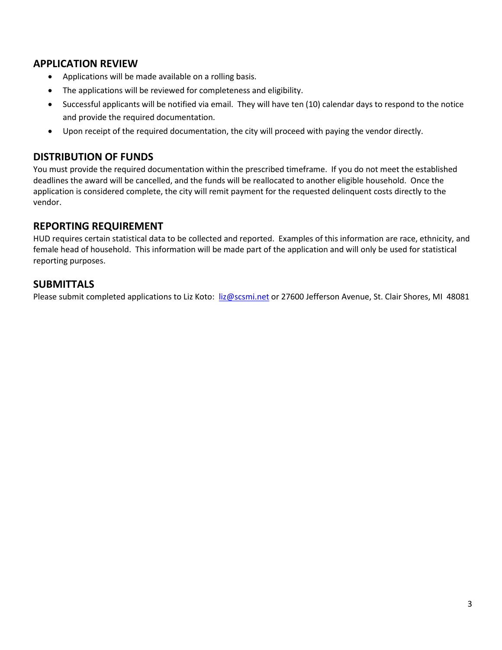## **APPLICATION REVIEW**

- Applications will be made available on a rolling basis.
- The applications will be reviewed for completeness and eligibility.
- Successful applicants will be notified via email. They will have ten (10) calendar days to respond to the notice and provide the required documentation.
- Upon receipt of the required documentation, the city will proceed with paying the vendor directly.

## **DISTRIBUTION OF FUNDS**

You must provide the required documentation within the prescribed timeframe. If you do not meet the established deadlines the award will be cancelled, and the funds will be reallocated to another eligible household. Once the application is considered complete, the city will remit payment for the requested delinquent costs directly to the vendor.

## **REPORTING REQUIREMENT**

HUD requires certain statistical data to be collected and reported. Examples of this information are race, ethnicity, and female head of household. This information will be made part of the application and will only be used for statistical reporting purposes.

## **SUBMITTALS**

Please submit completed applications to Liz Koto: [liz@scsmi.net](mailto:liz@scsmi.net) or 27600 Jefferson Avenue, St. Clair Shores, MI 48081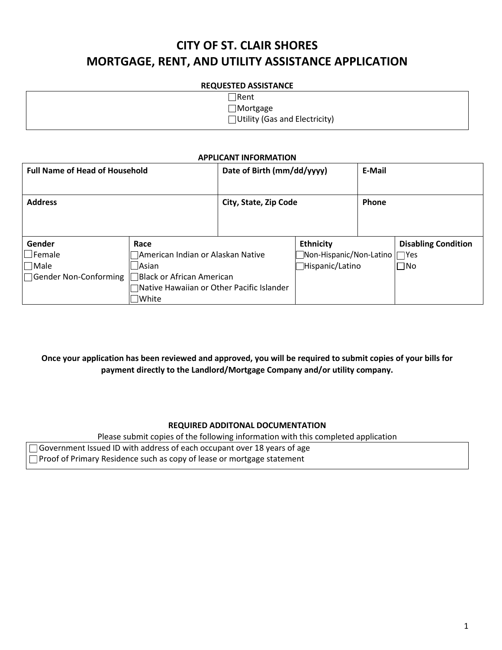# **CITY OF ST. CLAIR SHORES MORTGAGE, RENT, AND UTILITY ASSISTANCE APPLICATION**

#### **REQUESTED ASSISTANCE**

| $\Box$ Rent                          |
|--------------------------------------|
| $\Box$ Mortgage                      |
| $\Box$ Utility (Gas and Electricity) |
|                                      |

#### **APPLICANT INFORMATION**

| <b>Full Name of Head of Household</b>                                   |                                                                                                                                               | Date of Birth (mm/dd/yyyy) |                                                                         | E-Mail |                                            |
|-------------------------------------------------------------------------|-----------------------------------------------------------------------------------------------------------------------------------------------|----------------------------|-------------------------------------------------------------------------|--------|--------------------------------------------|
| <b>Address</b>                                                          |                                                                                                                                               | City, State, Zip Code      |                                                                         | Phone  |                                            |
| Gender<br>$\lrcorner$ Female<br>$\sqcap$ Male<br>□Gender Non-Conforming | Race<br>American Indian or Alaskan Native<br><b>Asian</b><br>Black or African American<br>Native Hawaiian or Other Pacific Islander<br> White |                            | <b>Ethnicity</b><br>]Non-Hispanic/Non-Latino     Yes<br>Hispanic/Latino |        | <b>Disabling Condition</b><br>$\square$ No |

**Once your application has been reviewed and approved, you will be required to submit copies of your bills for payment directly to the Landlord/Mortgage Company and/or utility company.** 

#### **REQUIRED ADDITONAL DOCUMENTATION**

Please submit copies of the following information with this completed application

Government Issued ID with address of each occupant over 18 years of age

Proof of Primary Residence such as copy of lease or mortgage statement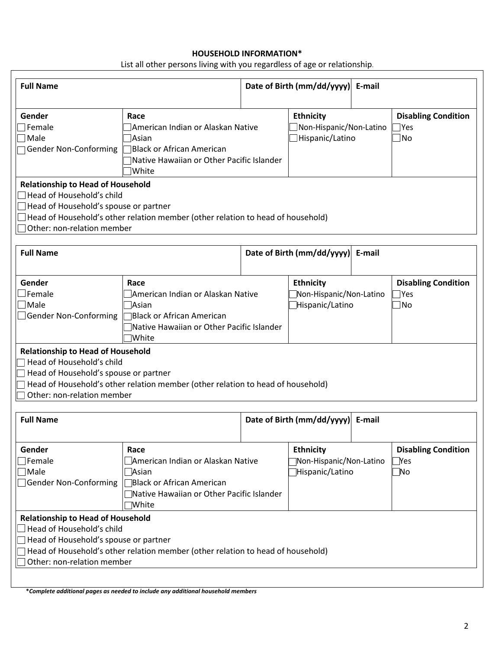#### **HOUSEHOLD INFORMATION\***

| List all other persons living with you regardless of age or relationship. |  |  |
|---------------------------------------------------------------------------|--|--|
|                                                                           |  |  |

| <b>Full Name</b>                                                                                                                                       |                                                                                                                                                    | Date of Birth (mm/dd/yyyy) | E-mail                                                         |        |                                                           |
|--------------------------------------------------------------------------------------------------------------------------------------------------------|----------------------------------------------------------------------------------------------------------------------------------------------------|----------------------------|----------------------------------------------------------------|--------|-----------------------------------------------------------|
| Gender<br>$\sqsupset$ Female<br>Male<br>Gender Non-Conforming                                                                                          | Race<br>American Indian or Alaskan Native<br>Asian <sup></sup><br>Black or African American<br>Native Hawaiian or Other Pacific Islander<br>White  |                            | <b>Ethnicity</b><br>Non-Hispanic/Non-Latino<br>Hispanic/Latino |        | <b>Disabling Condition</b><br>$\exists$ Yes<br>$\Box$ No  |
| <b>Relationship to Head of Household</b><br>Head of Household's child<br>Head of Household's spouse or partner<br>Other: non-relation member           | Head of Household's other relation member (other relation to head of household)                                                                    |                            |                                                                |        |                                                           |
| <b>Full Name</b>                                                                                                                                       |                                                                                                                                                    |                            | Date of Birth (mm/dd/yyyy)                                     | E-mail |                                                           |
| Gender<br>$\exists$ Female<br>$\sqcap$ Male<br>Gender Non-Conforming                                                                                   | Race<br>American Indian or Alaskan Native<br>Asian <sup></sup><br>Black or African American<br>Native Hawaiian or Other Pacific Islander<br>White! |                            | <b>Ethnicity</b><br>Non-Hispanic/Non-Latino<br>Hispanic/Latino |        | <b>Disabling Condition</b><br>$\exists$ Yes<br>$\Box$ No  |
| <b>Relationship to Head of Household</b><br>Head of Household's child<br>Head of Household's spouse or partner<br>Other: non-relation member           | Head of Household's other relation member (other relation to head of household)                                                                    |                            |                                                                |        |                                                           |
| <b>Full Name</b>                                                                                                                                       |                                                                                                                                                    |                            | Date of Birth (mm/dd/yyyy)                                     | E-mail |                                                           |
| Gender<br>Female<br>$\exists$ Male<br>Gender Non-Conforming                                                                                            | Race<br>American Indian or Alaskan Native<br>√Asian<br><b>Black or African American</b><br>Native Hawaiian or Other Pacific Islander<br>White      |                            | <b>Ethnicity</b><br>Non-Hispanic/Non-Latino<br>Hispanic/Latino |        | <b>Disabling Condition</b><br>$\mathsf{Yes}$<br>$\Box$ No |
| <b>Relationship to Head of Household</b><br>$\exists$ Head of Household's child<br>Head of Household's spouse or partner<br>Other: non-relation member | ] Head of Household's other relation member (other relation to head of household)                                                                  |                            |                                                                |        |                                                           |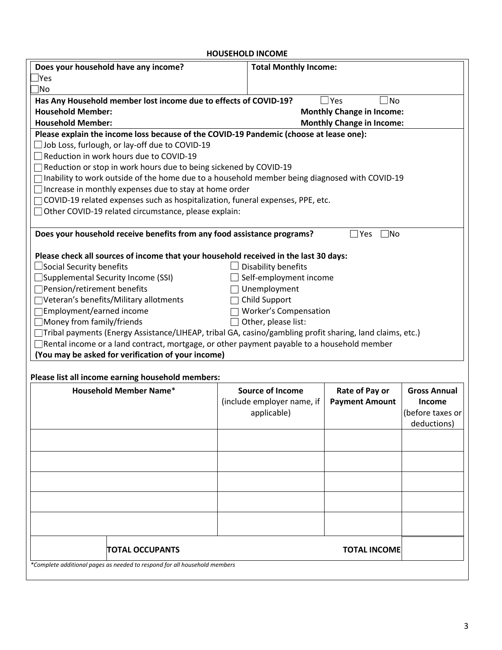### **HOUSEHOLD INCOME**

| Does your household have any income?                                                                      | <b>Total Monthly Income:</b> |                                  |                     |
|-----------------------------------------------------------------------------------------------------------|------------------------------|----------------------------------|---------------------|
| <u> </u> Yes                                                                                              |                              |                                  |                     |
| No.                                                                                                       |                              |                                  |                     |
| Has Any Household member lost income due to effects of COVID-19?                                          |                              | $\exists$ No<br>$\Box$ Yes       |                     |
| <b>Household Member:</b>                                                                                  |                              | <b>Monthly Change in Income:</b> |                     |
| <b>Household Member:</b>                                                                                  |                              | <b>Monthly Change in Income:</b> |                     |
| Please explain the income loss because of the COVID-19 Pandemic (choose at lease one):                    |                              |                                  |                     |
| Job Loss, furlough, or lay-off due to COVID-19                                                            |                              |                                  |                     |
| Reduction in work hours due to COVID-19                                                                   |                              |                                  |                     |
| Reduction or stop in work hours due to being sickened by COVID-19                                         |                              |                                  |                     |
| Inability to work outside of the home due to a household member being diagnosed with COVID-19             |                              |                                  |                     |
| Increase in monthly expenses due to stay at home order                                                    |                              |                                  |                     |
| COVID-19 related expenses such as hospitalization, funeral expenses, PPE, etc.                            |                              |                                  |                     |
| Other COVID-19 related circumstance, please explain:                                                      |                              |                                  |                     |
|                                                                                                           |                              | $\exists$ No                     |                     |
| Does your household receive benefits from any food assistance programs?                                   |                              | Yes                              |                     |
| Please check all sources of income that your household received in the last 30 days:                      |                              |                                  |                     |
| $\Box$ Social Security benefits                                                                           | Disability benefits          |                                  |                     |
| $\Box$ Supplemental Security Income (SSI)                                                                 | Self-employment income       |                                  |                     |
| □Pension/retirement benefits                                                                              | Unemployment                 |                                  |                     |
| □Veteran's benefits/Military allotments                                                                   | <b>Child Support</b>         |                                  |                     |
| Employment/earned income                                                                                  | <b>Worker's Compensation</b> |                                  |                     |
| $\Box$ Money from family/friends                                                                          | Other, please list:          |                                  |                     |
| □Tribal payments (Energy Assistance/LIHEAP, tribal GA, casino/gambling profit sharing, land claims, etc.) |                              |                                  |                     |
| $\Box$ Rental income or a land contract, mortgage, or other payment payable to a household member         |                              |                                  |                     |
| (You may be asked for verification of your income)                                                        |                              |                                  |                     |
|                                                                                                           |                              |                                  |                     |
| Please list all income earning household members:                                                         |                              |                                  |                     |
| <b>Household Member Name*</b>                                                                             | <b>Source of Income</b>      | Rate of Pay or                   | <b>Gross Annual</b> |
|                                                                                                           | (include employer name, if   | <b>Payment Amount</b>            | Income              |
|                                                                                                           | applicable)                  |                                  | (before taxes or    |
|                                                                                                           |                              |                                  | deductions)         |
|                                                                                                           |                              |                                  |                     |
|                                                                                                           |                              |                                  |                     |
|                                                                                                           |                              |                                  |                     |
|                                                                                                           |                              |                                  |                     |
|                                                                                                           |                              |                                  |                     |
|                                                                                                           |                              |                                  |                     |
|                                                                                                           |                              |                                  |                     |
|                                                                                                           |                              |                                  |                     |
| <b>TOTAL OCCUPANTS</b>                                                                                    |                              | <b>TOTAL INCOME</b>              |                     |
| *Complete additional pages as needed to respond for all household members                                 |                              |                                  |                     |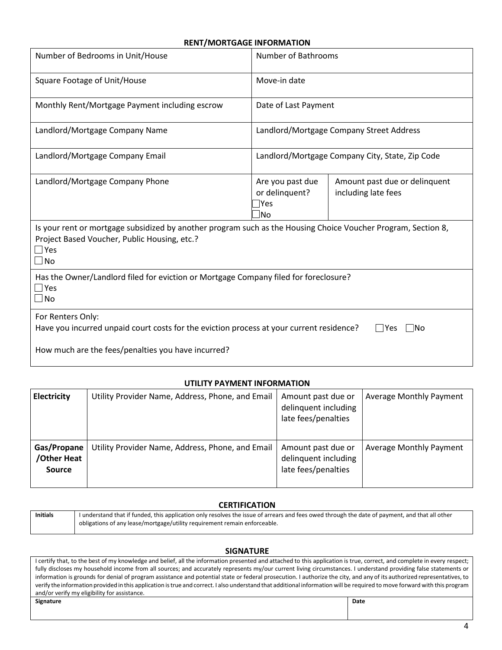#### **RENT/MORTGAGE INFORMATION**

| Number of Bedrooms in Unit/House                                                                                                                                                            | Number of Bathrooms                              |                                                      |  |  |
|---------------------------------------------------------------------------------------------------------------------------------------------------------------------------------------------|--------------------------------------------------|------------------------------------------------------|--|--|
| Square Footage of Unit/House                                                                                                                                                                | Move-in date                                     |                                                      |  |  |
| Monthly Rent/Mortgage Payment including escrow                                                                                                                                              | Date of Last Payment                             |                                                      |  |  |
| Landlord/Mortgage Company Name                                                                                                                                                              | Landlord/Mortgage Company Street Address         |                                                      |  |  |
| Landlord/Mortgage Company Email                                                                                                                                                             | Landlord/Mortgage Company City, State, Zip Code  |                                                      |  |  |
| Landlord/Mortgage Company Phone                                                                                                                                                             | Are you past due<br>or delinquent?<br> Yes<br>N٥ | Amount past due or delinquent<br>including late fees |  |  |
| Is your rent or mortgage subsidized by another program such as the Housing Choice Voucher Program, Section 8,<br>Project Based Voucher, Public Housing, etc.?<br>$\Box$ Yes<br>$\square$ No |                                                  |                                                      |  |  |
| Has the Owner/Landlord filed for eviction or Mortgage Company filed for foreclosure?<br>$\square$ Yes<br>$\square$ No                                                                       |                                                  |                                                      |  |  |
| For Renters Only:<br>Have you incurred unpaid court costs for the eviction process at your current residence?                                                                               |                                                  | l Yes<br>INo                                         |  |  |
| How much are the fees/penalties you have incurred?                                                                                                                                          |                                                  |                                                      |  |  |

#### **UTILITY PAYMENT INFORMATION**

| <b>Electricity</b>                   | Utility Provider Name, Address, Phone, and Email | Amount past due or<br>delinquent including<br>late fees/penalties | Average Monthly Payment |
|--------------------------------------|--------------------------------------------------|-------------------------------------------------------------------|-------------------------|
| Gas/Propane<br>/Other Heat<br>Source | Utility Provider Name, Address, Phone, and Email | Amount past due or<br>delinquent including<br>late fees/penalties | Average Monthly Payment |

#### **CERTIFICATION**

| Initials | I understand that if funded, this application only resolves the issue of arrears and fees owed through the date of payment, and that all other |
|----------|------------------------------------------------------------------------------------------------------------------------------------------------|
|          | obligations of any lease/mortgage/utility requirement remain enforceable.                                                                      |

#### **SIGNATURE**

I certify that, to the best of my knowledge and belief, all the information presented and attached to this application is true, correct, and complete in every respect; fully discloses my household income from all sources; and accurately represents my/our current living circumstances. I understand providing false statements or information is grounds for denial of program assistance and potential state or federal prosecution. I authorize the city, and any of its authorized representatives, to verify the information provided inthis application istrue and correct. I also understand that additional information will be required to move forward with this program and/or verify my eligibility for assistance. **Signature Date**

| Signature |
|-----------|
|           |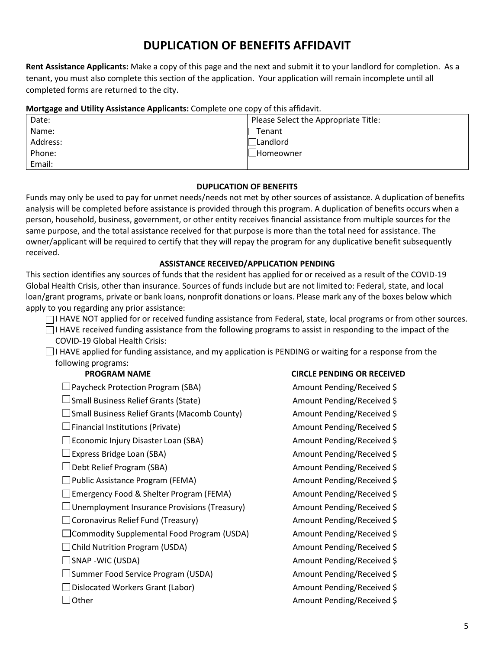## **DUPLICATION OF BENEFITS AFFIDAVIT**

**Rent Assistance Applicants:** Make a copy of this page and the next and submit it to your landlord for completion. As a tenant, you must also complete this section of the application. Your application will remain incomplete until all completed forms are returned to the city.

#### **Mortgage and Utility Assistance Applicants:** Complete one copy of this affidavit.

| - -      |                                      |
|----------|--------------------------------------|
| Date:    | Please Select the Appropriate Title: |
| Name:    | Tenant                               |
| Address: | $\Box$ Landlord                      |
| Phone:   | <b>Homeowner</b>                     |
| Email:   |                                      |

#### **DUPLICATION OF BENEFITS**

Funds may only be used to pay for unmet needs/needs not met by other sources of assistance. A duplication of benefits analysis will be completed before assistance is provided through this program. A duplication of benefits occurs when a person, household, business, government, or other entity receives financial assistance from multiple sources for the same purpose, and the total assistance received for that purpose is more than the total need for assistance. The owner/applicant will be required to certify that they will repay the program for any duplicative benefit subsequently received.

#### **ASSISTANCE RECEIVED/APPLICATION PENDING**

This section identifies any sources of funds that the resident has applied for or received as a result of the COVID-19 Global Health Crisis, other than insurance. Sources of funds include but are not limited to: Federal, state, and local loan/grant programs, private or bank loans, nonprofit donations or loans. Please mark any of the boxes below which apply to you regarding any prior assistance:

□I HAVE NOT applied for or received funding assistance from Federal, state, local programs or from other sources.

 $\Box$  I HAVE received funding assistance from the following programs to assist in responding to the impact of the COVID-19 Global Health Crisis:

 $\Box$  I HAVE applied for funding assistance, and my application is PENDING or waiting for a response from the following programs:

 $\square$  Paycheck Protection Program (SBA) Amount Pending/Received \$

□Small Business Relief Grants (State) Manual Amount Pending/Received \$

□Small Business Relief Grants (Macomb County) Amount Pending/Received \$

 $\Box$  Financial Institutions (Private) Amount Pending/Received \$

□ Economic Injury Disaster Loan (SBA) Amount Pending/Received \$

 $\square$  Public Assistance Program (FEMA) Amount Pending/Received \$

Emergency Food & Shelter Program (FEMA) Amount Pending/Received \$

 $\Box$  Unemployment Insurance Provisions (Treasury) Amount Pending/Received \$

□ Coronavirus Relief Fund (Treasury) Amount Pending/Received \$

□ Commodity Supplemental Food Program (USDA) Amount Pending/Received \$

□Child Nutrition Program (USDA) Amount Pending/Received \$

□ Summer Food Service Program (USDA) Amount Pending/Received \$

□ Dislocated Workers Grant (Labor) Amount Pending/Received \$

#### **PROGRAM NAME CIRCLE PENDING OR RECEIVED**

□Express Bridge Loan (SBA) Amount Pending/Received \$ □Debt Relief Program (SBA) Amount Pending/Received \$ SNAP -WIC (USDA) Amount Pending/Received \$  $\Box$  Other  $\Box$  Other  $\Box$  Other  $\Box$  Other  $\Box$  Other  $\Box$  Other  $\Box$  Other  $\Box$  Other  $\Box$  Other  $\Box$  Other  $\Box$  Other  $\Box$  Other  $\Box$  Other  $\Box$  Other  $\Box$  Other  $\Box$  Other  $\Box$  Other  $\Box$  Other  $\Box$  Other  $\Box$  Other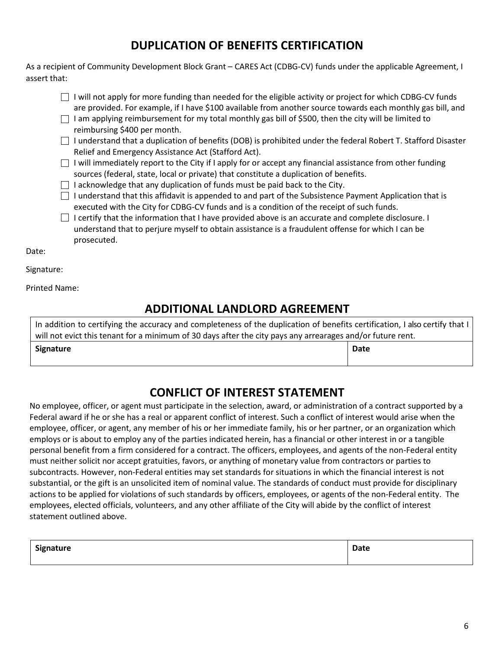## **DUPLICATION OF BENEFITS CERTIFICATION**

As a recipient of Community Development Block Grant – CARES Act (CDBG-CV) funds under the applicable Agreement, I assert that:

- $\Box$  I will not apply for more funding than needed for the eligible activity or project for which CDBG-CV funds are provided. For example, if I have \$100 available from another source towards each monthly gas bill, and
- $\Box$  I am applying reimbursement for my total monthly gas bill of \$500, then the city will be limited to reimbursing \$400 per month.
- $\Box$  I understand that a duplication of benefits (DOB) is prohibited under the federal Robert T. Stafford Disaster Relief and Emergency Assistance Act (Stafford Act).
- $\Box$  I will immediately report to the City if I apply for or accept any financial assistance from other funding sources (federal, state, local or private) that constitute a duplication of benefits.
- $\Box$  I acknowledge that any duplication of funds must be paid back to the City.
- $\Box$  I understand that this affidavit is appended to and part of the Subsistence Payment Application that is executed with the City for CDBG-CV funds and is a condition of the receipt of such funds.
- $\Box$  I certify that the information that I have provided above is an accurate and complete disclosure. I understand that to perjure myself to obtain assistance is a fraudulent offense for which I can be prosecuted.

Date:

Signature:

Printed Name:

## **ADDITIONAL LANDLORD AGREEMENT**

In addition to certifying the accuracy and completeness of the duplication of benefits certification, I also certify that I will not evict this tenant for a minimum of 30 days after the city pays any arrearages and/or future rent. **Signature Date**

## **CONFLICT OF INTEREST STATEMENT**

No employee, officer, or agent must participate in the selection, award, or administration of a contract supported by a Federal award if he or she has a real or apparent conflict of interest. Such a conflict of interest would arise when the employee, officer, or agent, any member of his or her immediate family, his or her partner, or an organization which employs or is about to employ any of the parties indicated herein, has a financial or other interest in or a tangible personal benefit from a firm considered for a contract. The officers, employees, and agents of the non-Federal entity must neither solicit nor accept gratuities, favors, or anything of monetary value from contractors or parties to subcontracts. However, non-Federal entities may set standards for situations in which the financial interest is not substantial, or the gift is an unsolicited item of nominal value. The standards of conduct must provide for disciplinary actions to be applied for violations of such standards by officers, employees, or agents of the non-Federal entity. The employees, elected officials, volunteers, and any other affiliate of the City will abide by the conflict of interest statement outlined above.

| Signature | <b>Date</b> |
|-----------|-------------|
|           |             |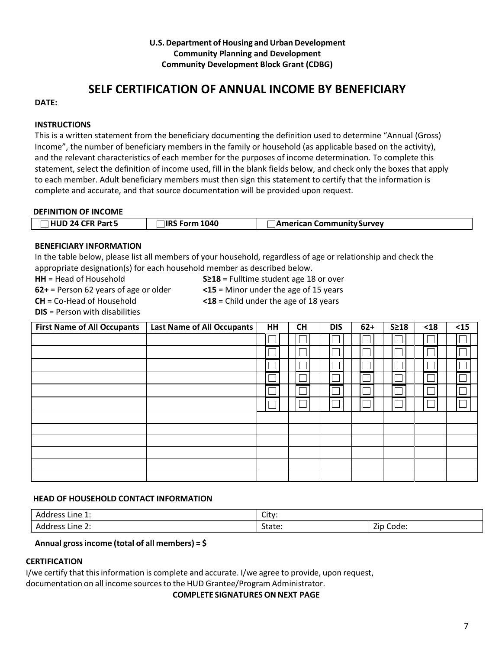#### **U.S.Department of Housing and Urban Development Community Planning and Development Community Development Block Grant (CDBG)**

## **SELF CERTIFICATION OF ANNUAL INCOME BY BENEFICIARY**

#### **DATE:**

#### **INSTRUCTIONS**

This is a written statement from the beneficiary documenting the definition used to determine "Annual (Gross) Income", the number of beneficiary members in the family or household (as applicable based on the activity), and the relevant characteristics of each member for the purposes of income determination. To complete this statement, select the definition of income used, fill in the blank fields below, and check only the boxes that apply to each member. Adult beneficiary members must then sign this statement to certify that the information is complete and accurate, and that source documentation will be provided upon request.

#### **DEFINITION OF INCOME**

| $\Box$ HUD 24 CFR Part 5 | $\Box$ IRS Form 1040 | <b>△ American Community Survey</b> |
|--------------------------|----------------------|------------------------------------|

#### **BENEFICIARY INFORMATION**

In the table below, please list all members of your household, regardless of age or relationship and check the appropriate designation(s) for each household member as described below.

| <b>HH</b> = Head of Household           | $S\geq 18$ = Fulltime student age 18 or over |
|-----------------------------------------|----------------------------------------------|
| $62+$ = Person 62 years of age or older | $\leq$ 15 = Minor under the age of 15 years  |
| <b>CH</b> = Co-Head of Household        | $\leq$ 18 = Child under the age of 18 years  |
| <b>DIS</b> = Person with disabilities   |                                              |

| <b>First Name of All Occupants</b> | Last Name of All Occupants | HH | <b>CH</b> | <b>DIS</b> | $62+$ | $S \geq 18$ | $<18$ | $<15$ |
|------------------------------------|----------------------------|----|-----------|------------|-------|-------------|-------|-------|
|                                    |                            |    |           |            |       |             |       |       |
|                                    |                            |    |           |            |       |             |       |       |
|                                    |                            |    |           |            |       |             |       |       |
|                                    |                            |    |           |            |       |             |       |       |
|                                    |                            |    |           |            |       |             |       |       |
|                                    |                            |    |           |            |       |             |       |       |
|                                    |                            |    |           |            |       |             |       |       |
|                                    |                            |    |           |            |       |             |       |       |
|                                    |                            |    |           |            |       |             |       |       |
|                                    |                            |    |           |            |       |             |       |       |
|                                    |                            |    |           |            |       |             |       |       |
|                                    |                            |    |           |            |       |             |       |       |

#### **HEAD OF HOUSEHOLD CONTACT INFORMATION**

| Address<br>Line $1$ :                      | City:  |                                                 |  |
|--------------------------------------------|--------|-------------------------------------------------|--|
| Address<br>-<br>Line $2:$<br>$\sim$ $\sim$ | State: | —.<br>$\overline{\phantom{0}}$<br>Code:<br>Zip- |  |

#### **Annual grossincome (total of all members) = \$**

#### **CERTIFICATION**

I/we certify that thisinformation is complete and accurate. I/we agree to provide, upon request,

documentation on all income sourcesto the HUD Grantee/Program Administrator.

**COMPLETE SIGNATURESON NEXT PAGE**